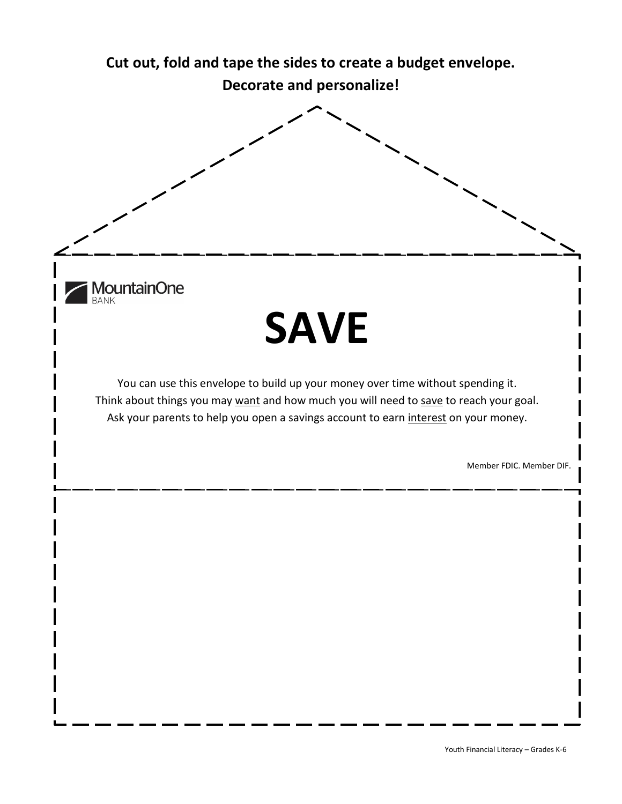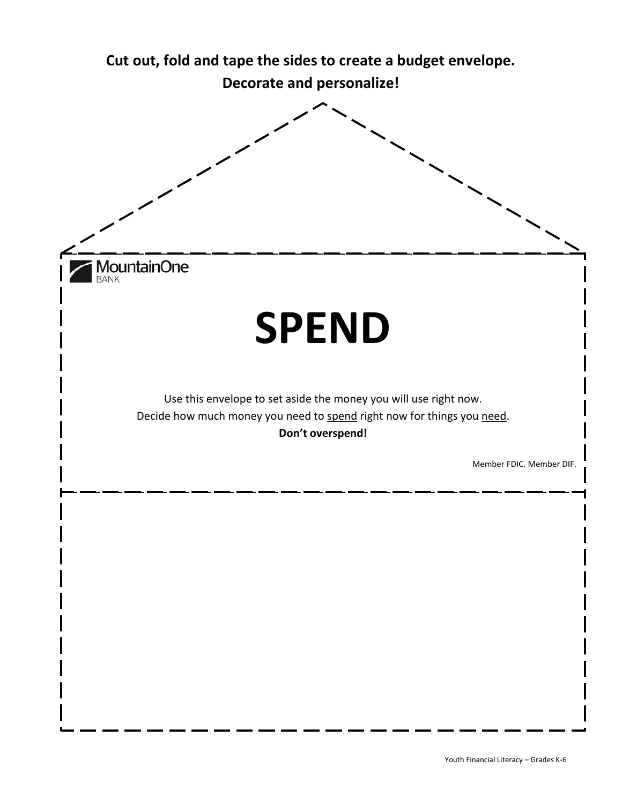